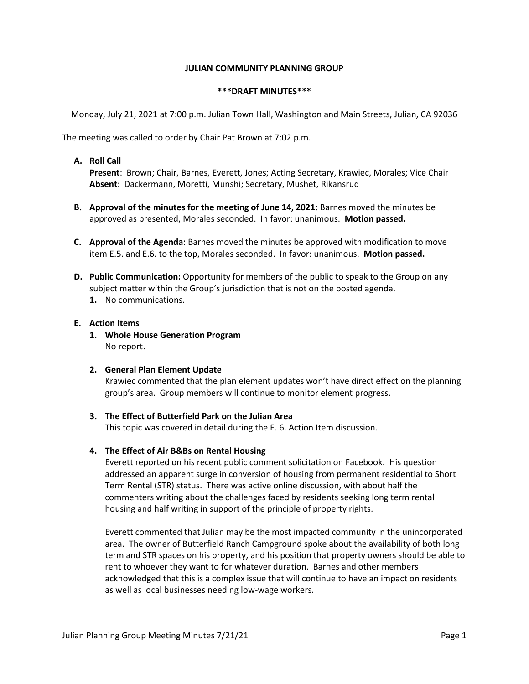### **JULIAN COMMUNITY PLANNING GROUP**

#### **\*\*\*DRAFT MINUTES\*\*\***

Monday, July 21, 2021 at 7:00 p.m. Julian Town Hall, Washington and Main Streets, Julian, CA 92036

The meeting was called to order by Chair Pat Brown at 7:02 p.m.

### **A. Roll Call**

**Present**: Brown; Chair, Barnes, Everett, Jones; Acting Secretary, Krawiec, Morales; Vice Chair **Absent**: Dackermann, Moretti, Munshi; Secretary, Mushet, Rikansrud

- **B. Approval of the minutes for the meeting of June 14, 2021:** Barnes moved the minutes be approved as presented, Morales seconded. In favor: unanimous. **Motion passed.**
- **C. Approval of the Agenda:** Barnes moved the minutes be approved with modification to move item E.5. and E.6. to the top, Morales seconded. In favor: unanimous. **Motion passed.**
- **D. Public Communication:** Opportunity for members of the public to speak to the Group on any subject matter within the Group's jurisdiction that is not on the posted agenda.
	- **1.** No communications.

## **E. Action Items**

**1. Whole House Generation Program** No report.

#### **2. General Plan Element Update**

Krawiec commented that the plan element updates won't have direct effect on the planning group's area. Group members will continue to monitor element progress.

#### **3. The Effect of Butterfield Park on the Julian Area**

This topic was covered in detail during the E. 6. Action Item discussion.

# **4. The Effect of Air B&Bs on Rental Housing**

Everett reported on his recent public comment solicitation on Facebook. His question addressed an apparent surge in conversion of housing from permanent residential to Short Term Rental (STR) status. There was active online discussion, with about half the commenters writing about the challenges faced by residents seeking long term rental housing and half writing in support of the principle of property rights.

Everett commented that Julian may be the most impacted community in the unincorporated area. The owner of Butterfield Ranch Campground spoke about the availability of both long term and STR spaces on his property, and his position that property owners should be able to rent to whoever they want to for whatever duration. Barnes and other members acknowledged that this is a complex issue that will continue to have an impact on residents as well as local businesses needing low-wage workers.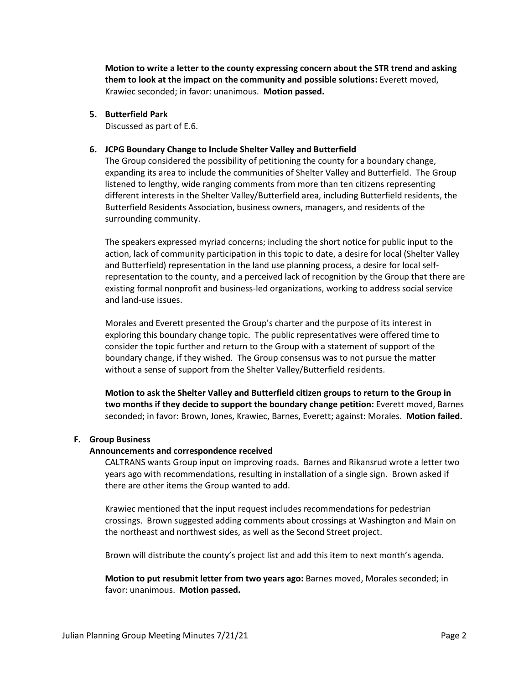**Motion to write a letter to the county expressing concern about the STR trend and asking them to look at the impact on the community and possible solutions:** Everett moved, Krawiec seconded; in favor: unanimous. **Motion passed.**

**5. Butterfield Park** 

Discussed as part of E.6.

# **6. JCPG Boundary Change to Include Shelter Valley and Butterfield**

The Group considered the possibility of petitioning the county for a boundary change, expanding its area to include the communities of Shelter Valley and Butterfield. The Group listened to lengthy, wide ranging comments from more than ten citizens representing different interests in the Shelter Valley/Butterfield area, including Butterfield residents, the Butterfield Residents Association, business owners, managers, and residents of the surrounding community.

The speakers expressed myriad concerns; including the short notice for public input to the action, lack of community participation in this topic to date, a desire for local (Shelter Valley and Butterfield) representation in the land use planning process, a desire for local selfrepresentation to the county, and a perceived lack of recognition by the Group that there are existing formal nonprofit and business-led organizations, working to address social service and land-use issues.

Morales and Everett presented the Group's charter and the purpose of its interest in exploring this boundary change topic. The public representatives were offered time to consider the topic further and return to the Group with a statement of support of the boundary change, if they wished. The Group consensus was to not pursue the matter without a sense of support from the Shelter Valley/Butterfield residents.

**Motion to ask the Shelter Valley and Butterfield citizen groups to return to the Group in two months if they decide to support the boundary change petition:** Everett moved, Barnes seconded; in favor: Brown, Jones, Krawiec, Barnes, Everett; against: Morales. **Motion failed.**

#### **F. Group Business**

#### **Announcements and correspondence received**

CALTRANS wants Group input on improving roads. Barnes and Rikansrud wrote a letter two years ago with recommendations, resulting in installation of a single sign. Brown asked if there are other items the Group wanted to add.

Krawiec mentioned that the input request includes recommendations for pedestrian crossings. Brown suggested adding comments about crossings at Washington and Main on the northeast and northwest sides, as well as the Second Street project.

Brown will distribute the county's project list and add this item to next month's agenda.

**Motion to put resubmit letter from two years ago:** Barnes moved, Morales seconded; in favor: unanimous. **Motion passed.**